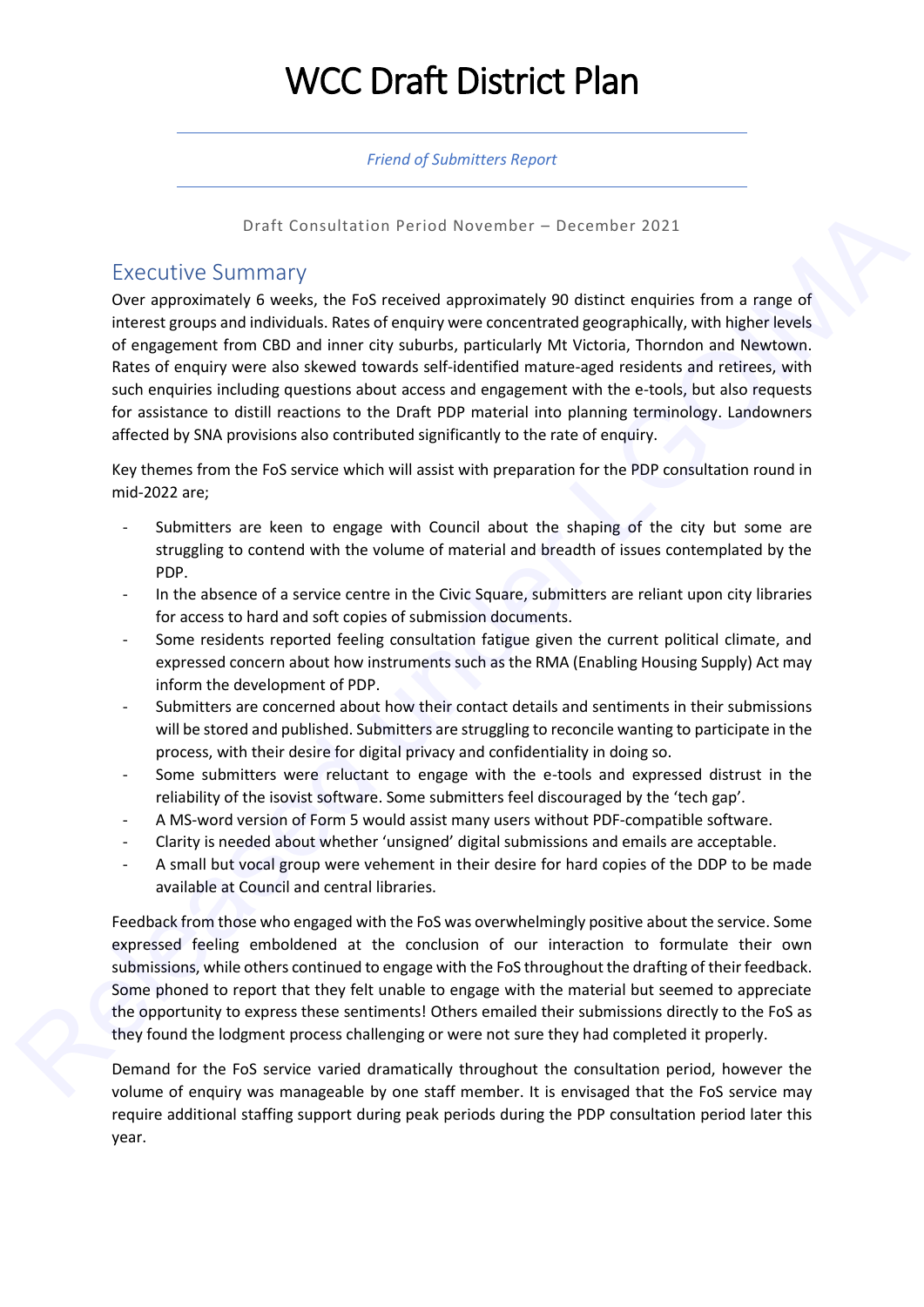# WCC Draft District Plan

#### *Friend of Submitters Report*

#### Draft Consultation Period November – December 2021

## Executive Summary

Over approximately 6 weeks, the FoS received approximately 90 distinct enquiries from a range of interest groups and individuals. Rates of enquiry were concentrated geographically, with higher levels of engagement from CBD and inner city suburbs, particularly Mt Victoria, Thorndon and Newtown. Rates of enquiry were also skewed towards self-identified mature-aged residents and retirees, with such enquiries including questions about access and engagement with the e-tools, but also requests for assistance to distill reactions to the Draft PDP material into planning terminology. Landowners affected by SNA provisions also contributed significantly to the rate of enquiry. Draft Consultation Period November – December 2021<br>
Decorativately SUCTIMATY<br>
Development of Orechosism (For the FoS received approximately 90 distinct enguise for a range of<br>
Orechosism (For orechosism of the FoS receive

Key themes from the FoS service which will assist with preparation for the PDP consultation round in mid-2022 are;

- Submitters are keen to engage with Council about the shaping of the city but some are struggling to contend with the volume of material and breadth of issues contemplated by the PDP.
- In the absence of a service centre in the Civic Square, submitters are reliant upon city libraries for access to hard and soft copies of submission documents.
- Some residents reported feeling consultation fatigue given the current political climate, and expressed concern about how instruments such as the RMA (Enabling Housing Supply) Act may inform the development of PDP.
- Submitters are concerned about how their contact details and sentiments in their submissions will be stored and published. Submitters are struggling to reconcile wanting to participate in the process, with their desire for digital privacy and confidentiality in doing so.
- Some submitters were reluctant to engage with the e-tools and expressed distrust in the reliability of the isovist software. Some submitters feel discouraged by the 'tech gap'.
- A MS-word version of Form 5 would assist many users without PDF-compatible software.
- Clarity is needed about whether 'unsigned' digital submissions and emails are acceptable.
- A small but vocal group were vehement in their desire for hard copies of the DDP to be made available at Council and central libraries.

Feedback from those who engaged with the FoS was overwhelmingly positive about the service. Some expressed feeling emboldened at the conclusion of our interaction to formulate their own submissions, while others continued to engage with the FoS throughout the drafting of their feedback. Some phoned to report that they felt unable to engage with the material but seemed to appreciate the opportunity to express these sentiments! Others emailed their submissions directly to the FoS as they found the lodgment process challenging or were not sure they had completed it properly.

Demand for the FoS service varied dramatically throughout the consultation period, however the volume of enquiry was manageable by one staff member. It is envisaged that the FoS service may require additional staffing support during peak periods during the PDP consultation period later this year.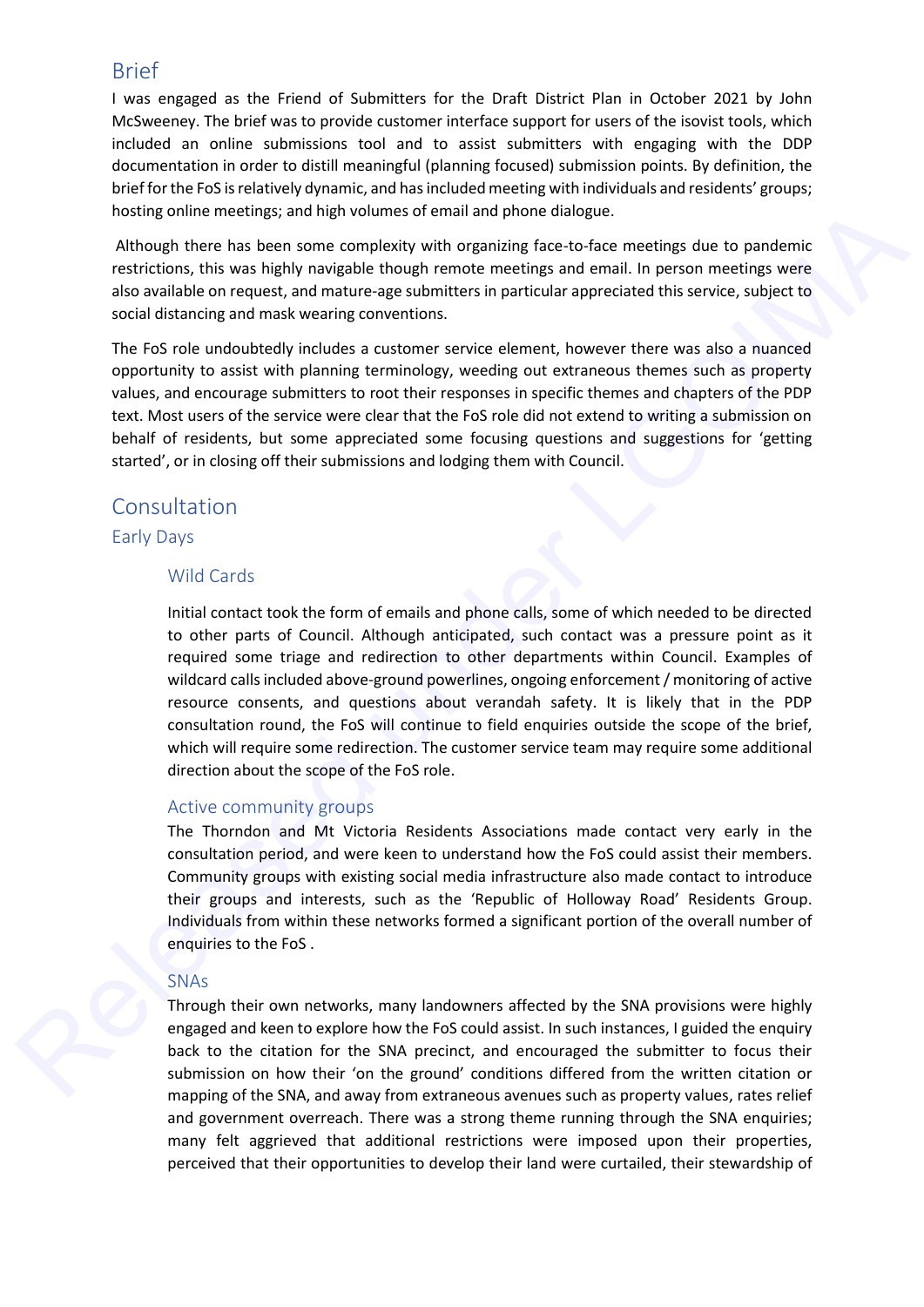## Brief

I was engaged as the Friend of Submitters for the Draft District Plan in October 2021 by John McSweeney. The brief was to provide customer interface support for users of the isovist tools, which included an online submissions tool and to assist submitters with engaging with the DDP documentation in order to distill meaningful (planning focused) submission points. By definition, the brief for the FoS is relatively dynamic, and has included meeting with individuals and residents' groups; hosting online meetings; and high volumes of email and phone dialogue.

Although there has been some complexity with organizing face-to-face meetings due to pandemic restrictions, this was highly navigable though remote meetings and email. In person meetings were also available on request, and mature-age submitters in particular appreciated this service, subject to social distancing and mask wearing conventions.

The FoS role undoubtedly includes a customer service element, however there was also a nuanced opportunity to assist with planning terminology, weeding out extraneous themes such as property values, and encourage submitters to root their responses in specific themes and chapters of the PDP text. Most users of the service were clear that the FoS role did not extend to writing a submission on behalf of residents, but some appreciated some focusing questions and suggestions for 'getting started', or in closing off their submissions and lodging them with Council.

## Consultation

#### Early Days

## Wild Cards

Initial contact took the form of emails and phone calls, some of which needed to be directed to other parts of Council. Although anticipated, such contact was a pressure point as it required some triage and redirection to other departments within Council. Examples of wildcard calls included above-ground powerlines, ongoing enforcement / monitoring of active resource consents, and questions about verandah safety. It is likely that in the PDP consultation round, the FoS will continue to field enquiries outside the scope of the brief, which will require some redirection. The customer service team may require some additional direction about the scope of the FoS role. bothion methods and high volumes of email and phone dialogue.<br>Antioxigo since there has been some completive with the praising face to about the resulting the both since in the relationship is the complete that the relatio

## Active community groups

The Thorndon and Mt Victoria Residents Associations made contact very early in the consultation period, and were keen to understand how the FoS could assist their members. Community groups with existing social media infrastructure also made contact to introduce their groups and interests, such as the 'Republic of Holloway Road' Residents Group. Individuals from within these networks formed a significant portion of the overall number of enquiries to the FoS .

## SNAs

Through their own networks, many landowners affected by the SNA provisions were highly engaged and keen to explore how the FoS could assist. In such instances, I guided the enquiry back to the citation for the SNA precinct, and encouraged the submitter to focus their submission on how their 'on the ground' conditions differed from the written citation or mapping of the SNA, and away from extraneous avenues such as property values, rates relief and government overreach. There was a strong theme running through the SNA enquiries; many felt aggrieved that additional restrictions were imposed upon their properties, perceived that their opportunities to develop their land were curtailed, their stewardship of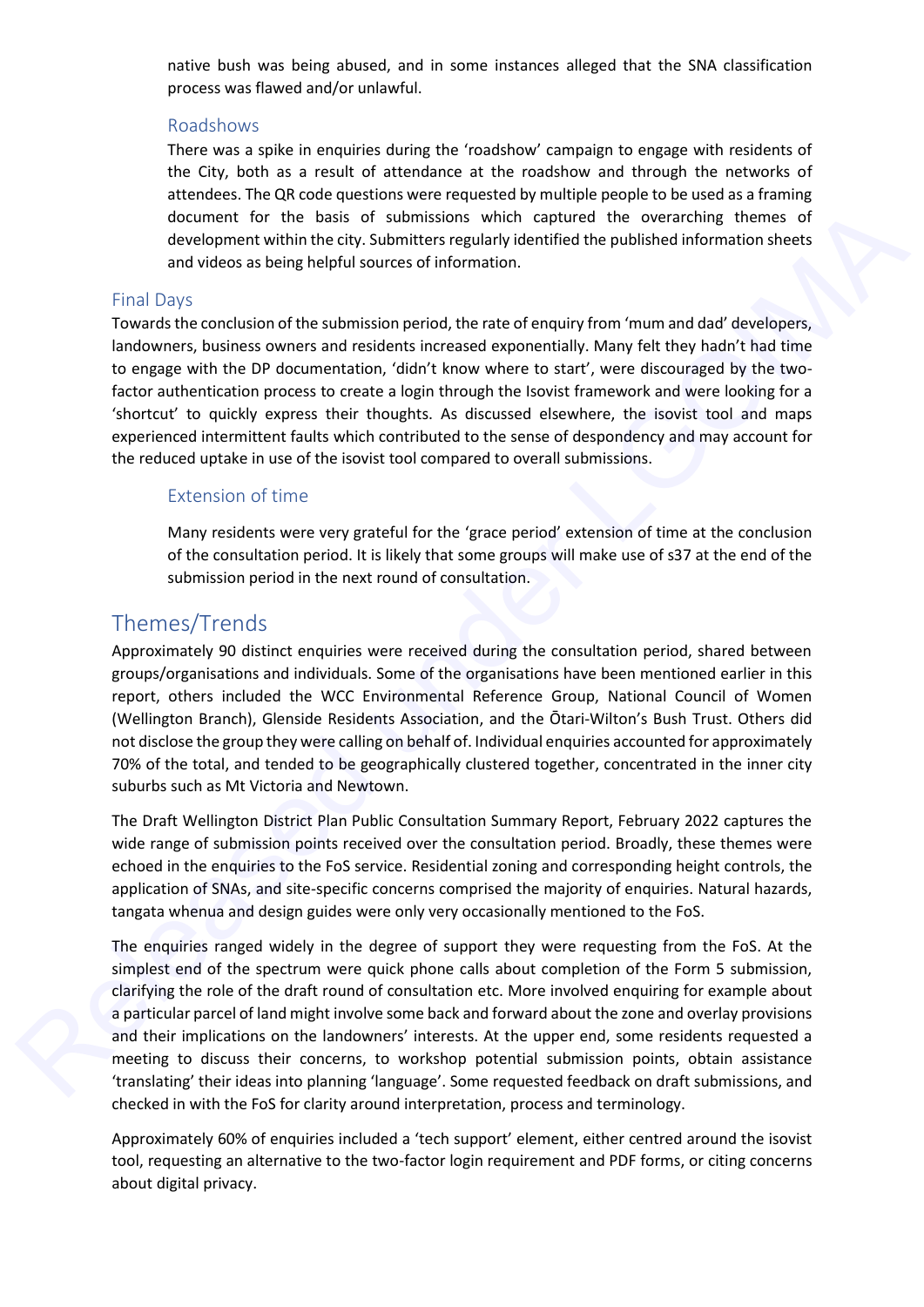native bush was being abused, and in some instances alleged that the SNA classification process was flawed and/or unlawful.

#### Roadshows

There was a spike in enquiries during the 'roadshow' campaign to engage with residents of the City, both as a result of attendance at the roadshow and through the networks of attendees. The QR code questions were requested by multiple people to be used as a framing document for the basis of submissions which captured the overarching themes of development within the city. Submitters regularly identified the published information sheets and videos as being helpful sources of information.

## Final Days

Towards the conclusion of the submission period, the rate of enquiry from 'mum and dad' developers, landowners, business owners and residents increased exponentially. Many felt they hadn't had time to engage with the DP documentation, 'didn't know where to start', were discouraged by the twofactor authentication process to create a login through the Isovist framework and were looking for a 'shortcut' to quickly express their thoughts. As discussed elsewhere, the isovist tool and maps experienced intermittent faults which contributed to the sense of despondency and may account for the reduced uptake in use of the isovist tool compared to overall submissions.

## Extension of time

Many residents were very grateful for the 'grace period' extension of time at the conclusion of the consultation period. It is likely that some groups will make use of s37 at the end of the submission period in the next round of consultation.

## Themes/Trends

Approximately 90 distinct enquiries were received during the consultation period, shared between groups/organisations and individuals. Some of the organisations have been mentioned earlier in this report, others included the WCC Environmental Reference Group, National Council of Women (Wellington Branch), Glenside Residents Association, and the Ōtari-Wilton's Bush Trust. Others did not disclose the group they were calling on behalf of. Individual enquiries accounted for approximately 70% of the total, and tended to be geographically clustered together, concentrated in the inner city suburbs such as Mt Victoria and Newtown.

The Draft Wellington District Plan Public Consultation Summary Report, February 2022 captures the wide range of submission points received over the consultation period. Broadly, these themes were echoed in the enquiries to the FoS service. Residential zoning and corresponding height controls, the application of SNAs, and site-specific concerns comprised the majority of enquiries. Natural hazards, tangata whenua and design guides were only very occasionally mentioned to the FoS.

The enquiries ranged widely in the degree of support they were requesting from the FoS. At the simplest end of the spectrum were quick phone calls about completion of the Form 5 submission, clarifying the role of the draft round of consultation etc. More involved enquiring for example about a particular parcel of land might involve some back and forward about the zone and overlay provisions and their implications on the landowners' interests. At the upper end, some residents requested a meeting to discuss their concerns, to workshop potential submission points, obtain assistance 'translating' their ideas into planning 'language'. Some requested feedback on draft submissions, and checked in with the FoS for clarity around interpretation, process and terminology. diourient for the basis of submittedime regularity ship computed the overceling therms of<br>development within the cty, submitter regularly identified the overcredime therms of<br>and these states and videos is being helicity s

> Approximately 60% of enquiries included a 'tech support' element, either centred around the isovist tool, requesting an alternative to the two-factor login requirement and PDF forms, or citing concerns about digital privacy.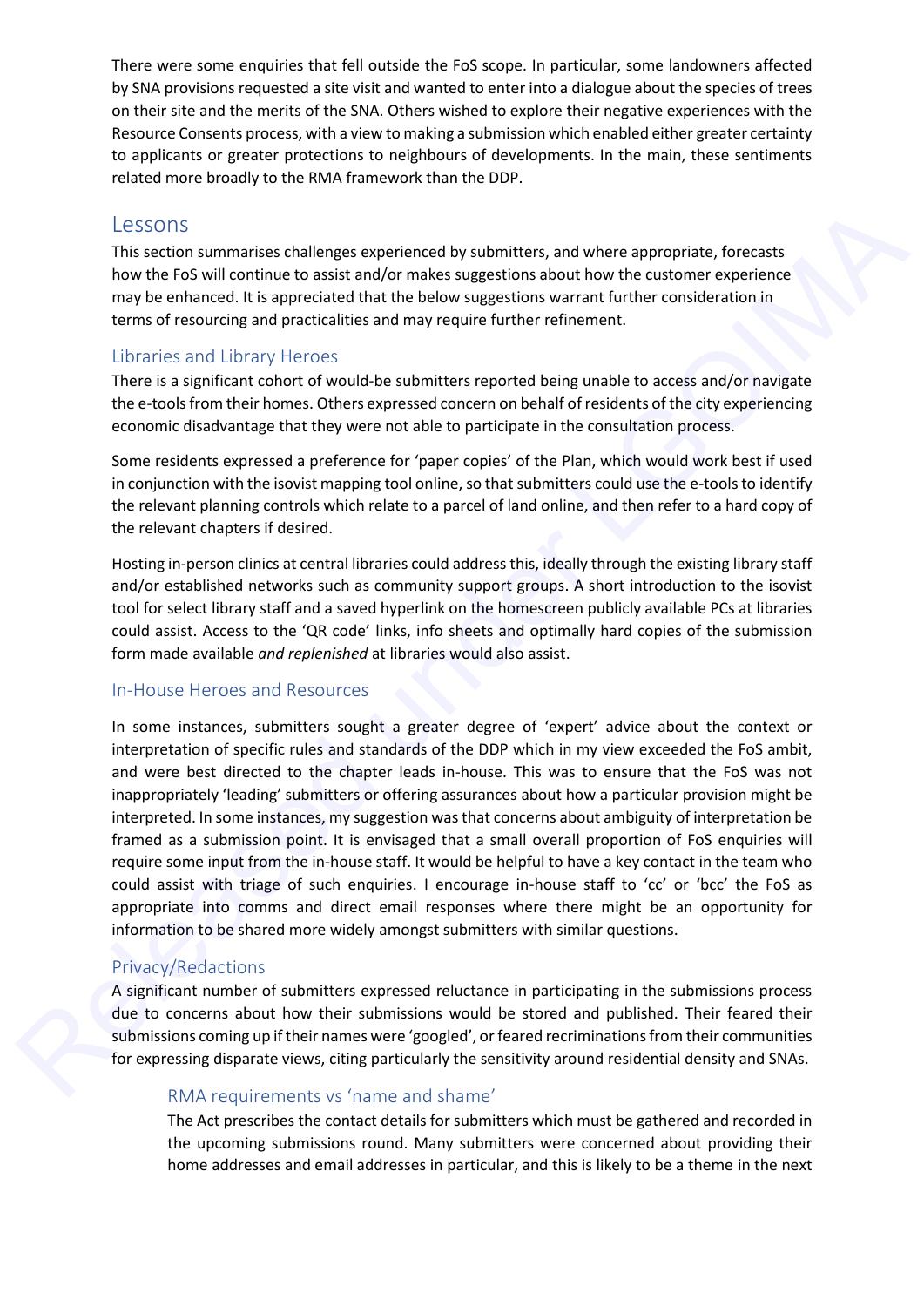There were some enquiries that fell outside the FoS scope. In particular, some landowners affected by SNA provisions requested a site visit and wanted to enter into a dialogue about the species of trees on their site and the merits of the SNA. Others wished to explore their negative experiences with the Resource Consents process, with a view to making a submission which enabled either greater certainty to applicants or greater protections to neighbours of developments. In the main, these sentiments related more broadly to the RMA framework than the DDP.

## Lessons

This section summarises challenges experienced by submitters, and where appropriate, forecasts how the FoS will continue to assist and/or makes suggestions about how the customer experience may be enhanced. It is appreciated that the below suggestions warrant further consideration in terms of resourcing and practicalities and may require further refinement.

## Libraries and Library Heroes

There is a significant cohort of would-be submitters reported being unable to access and/or navigate the e-tools from their homes. Others expressed concern on behalf of residents of the city experiencing economic disadvantage that they were not able to participate in the consultation process.

Some residents expressed a preference for 'paper copies' of the Plan, which would work best if used in conjunction with the isovist mapping tool online, so that submitters could use the e-tools to identify the relevant planning controls which relate to a parcel of land online, and then refer to a hard copy of the relevant chapters if desired.

Hosting in-person clinics at central libraries could address this, ideally through the existing library staff and/or established networks such as community support groups. A short introduction to the isovist tool for select library staff and a saved hyperlink on the homescreen publicly available PCs at libraries could assist. Access to the 'QR code' links, info sheets and optimally hard copies of the submission form made available *and replenished* at libraries would also assist.

## In-House Heroes and Resources

In some instances, submitters sought a greater degree of 'expert' advice about the context or interpretation of specific rules and standards of the DDP which in my view exceeded the FoS ambit, and were best directed to the chapter leads in-house. This was to ensure that the FoS was not inappropriately 'leading' submitters or offering assurances about how a particular provision might be interpreted. In some instances, my suggestion was that concerns about ambiguity of interpretation be framed as a submission point. It is envisaged that a small overall proportion of FoS enquiries will require some input from the in-house staff. It would be helpful to have a key contact in the team who could assist with triage of such enquiries. I encourage in-house staff to 'cc' or 'bcc' the FoS as appropriate into comms and direct email responses where there might be an opportunity for information to be shared more widely amongst submitters with similar questions. LCSSONS<br>This ection summarises challenges experienced by submitters, and where appropriate, forecasts<br>This ection source is solved under the system and the system and the system of the system of the system content<br>may be m

## Privacy/Redactions

A significant number of submitters expressed reluctance in participating in the submissions process due to concerns about how their submissions would be stored and published. Their feared their submissions coming up if their names were 'googled', or feared recriminations from their communities for expressing disparate views, citing particularly the sensitivity around residential density and SNAs.

## RMA requirements vs 'name and shame'

The Act prescribes the contact details for submitters which must be gathered and recorded in the upcoming submissions round. Many submitters were concerned about providing their home addresses and email addresses in particular, and this is likely to be a theme in the next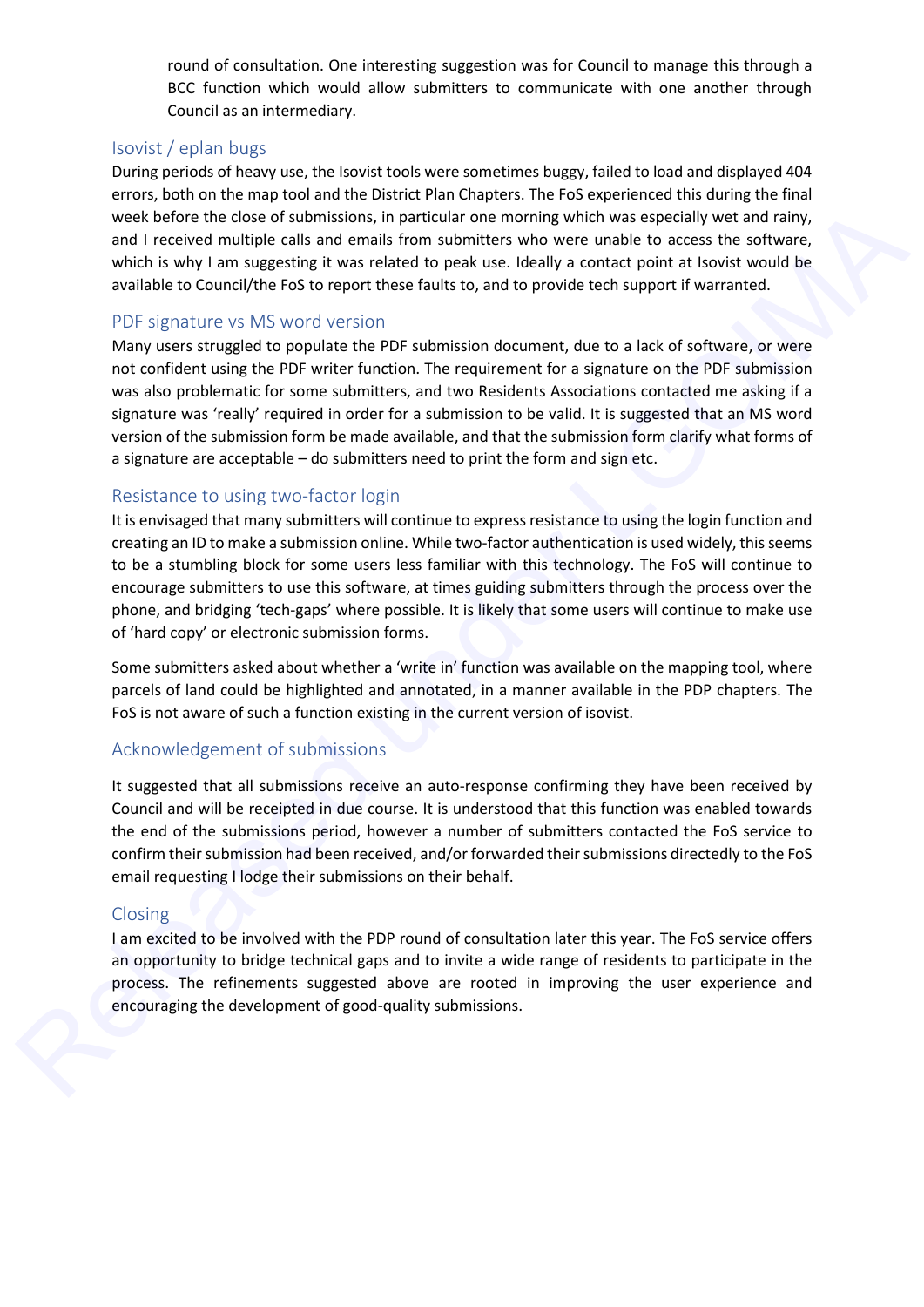round of consultation. One interesting suggestion was for Council to manage this through a BCC function which would allow submitters to communicate with one another through Council as an intermediary.

## Isovist / eplan bugs

During periods of heavy use, the Isovist tools were sometimes buggy, failed to load and displayed 404 errors, both on the map tool and the District Plan Chapters. The FoS experienced this during the final week before the close of submissions, in particular one morning which was especially wet and rainy, and I received multiple calls and emails from submitters who were unable to access the software, which is why I am suggesting it was related to peak use. Ideally a contact point at Isovist would be available to Council/the FoS to report these faults to, and to provide tech support if warranted.

## PDF signature vs MS word version

Many users struggled to populate the PDF submission document, due to a lack of software, or were not confident using the PDF writer function. The requirement for a signature on the PDF submission was also problematic for some submitters, and two Residents Associations contacted me asking if a signature was 'really' required in order for a submission to be valid. It is suggested that an MS word version of the submission form be made available, and that the submission form clarify what forms of a signature are acceptable – do submitters need to print the form and sign etc. were before the chose of submitted will controlling the performing which was equilably and interimentally a controlling cases the software<br>which is why I am suggesting it was related to peak ture. If delive a contract poin

#### Resistance to using two-factor login

It is envisaged that many submitters will continue to express resistance to using the login function and creating an ID to make a submission online. While two-factor authentication is used widely, this seems to be a stumbling block for some users less familiar with this technology. The FoS will continue to encourage submitters to use this software, at times guiding submitters through the process over the phone, and bridging 'tech-gaps' where possible. It is likely that some users will continue to make use of 'hard copy' or electronic submission forms.

Some submitters asked about whether a 'write in' function was available on the mapping tool, where parcels of land could be highlighted and annotated, in a manner available in the PDP chapters. The FoS is not aware of such a function existing in the current version of isovist.

## Acknowledgement of submissions

It suggested that all submissions receive an auto-response confirming they have been received by Council and will be receipted in due course. It is understood that this function was enabled towards the end of the submissions period, however a number of submitters contacted the FoS service to confirm their submission had been received, and/or forwarded their submissions directedly to the FoS email requesting I lodge their submissions on their behalf.

#### Closing

I am excited to be involved with the PDP round of consultation later this year. The FoS service offers an opportunity to bridge technical gaps and to invite a wide range of residents to participate in the process. The refinements suggested above are rooted in improving the user experience and encouraging the development of good-quality submissions.